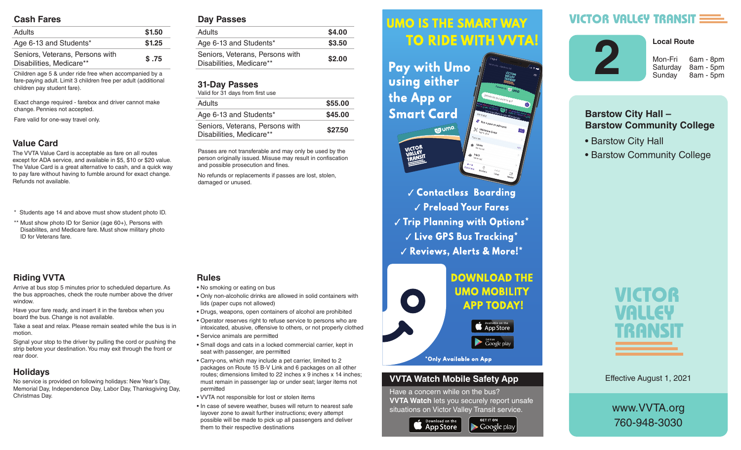#### **Cash Fares**

| <b>Adults</b>                                               | \$1.50 |
|-------------------------------------------------------------|--------|
| Age 6-13 and Students*                                      | \$1.25 |
| Seniors, Veterans, Persons with<br>Disabilities, Medicare** | \$.75  |

Children age 5 & under ride free when accompanied by a fare-paying adult. Limit 3 children free per adult (additional children pay student fare).

Exact change required - farebox and driver cannot make change. Pennies not accepted.

Fare valid for one-way travel only.

## **Value Card**

The VVTA Value Card is acceptable as fare on all routes except for ADA service, and available in \$5, \$10 or \$20 value. The Value Card is a great alternative to cash, and a quick way to pay fare without having to fumble around for exact change. Refunds not available.

- \* Students age 14 and above must show student photo ID.
- \*\* Must show photo ID for Senior (age 60+), Persons with Disabilites, and Medicare fare. Must show military photo ID for Veterans fare.

# **Riding VVTA**

Arrive at bus stop 5 minutes prior to scheduled departure. As the bus approaches, check the route number above the driver window.

Have your fare ready, and insert it in the farebox when you board the bus. Change is not available.

Take a seat and relax. Please remain seated while the bus is in motion.

Signal your stop to the driver by pulling the cord or pushing the strip before your destination. You may exit through the front or rear door.

## **Holidays**

No service is provided on following holidays: New Year's Day, Memorial Day, Independence Day, Labor Day, Thanksgiving Day, Christmas Day.

#### **Day Passes**

| Adults                                                      | \$4.00 |
|-------------------------------------------------------------|--------|
| Age 6-13 and Students*                                      | \$3.50 |
| Seniors, Veterans, Persons with<br>Disabilities, Medicare** | \$2.00 |
|                                                             |        |

## **31-Day Passes**

| Valid for 31 days from first use                            |         |  |
|-------------------------------------------------------------|---------|--|
| <b>Adults</b>                                               | \$55.00 |  |
| Age 6-13 and Students*                                      | \$45.00 |  |
| Seniors, Veterans, Persons with<br>Disabilities, Medicare** | \$27.50 |  |

Passes are not transferable and may only be used by the person originally issued. Misuse may result in confiscation and possible prosecution and fines.

No refunds or replacements if passes are lost, stolen, damaged or unused.

• No smoking or eating on bus

**Rules**

- Only non-alcoholic drinks are allowed in solid containers with lids (paper cups not allowed)
- Drugs, weapons, open containers of alcohol are prohibited
- Operator reserves right to refuse service to persons who are intoxicated, abusive, offensive to others, or not properly clothed
- Service animals are permitted
- Small dogs and cats in a locked commercial carrier, kept in seat with passenger, are permitted
- Carry-ons, which may include a pet carrier, limited to 2 packages on Route 15 B-V Link and 6 packages on all other routes; dimensions limited to 22 inches x 9 inches x 14 inches; must remain in passenger lap or under seat; larger items not permitted
- VVTA not responsible for lost or stolen items
- In case of severe weather, buses will return to nearest safe layover zone to await further instructions; every attempt possible will be made to pick up all passengers and deliver them to their respective destinations

#### *<u>UMO IS THE SMART WAY</u>* Arrive at bus stop 5 minutes prior to scheduled departure. As the bus approximation of the bus approximation of the bus approximation of the bus approximation route number above the driver window.

 $\mathbf{h}$  , and it is instructed in the farebox insert in the farebox  $\mathbf{h}$ **Fay with UMO AND SOLUTE:** Using either the bus is in motion.  $\mathbf{S}$  since the driver by pulling the driver by pulling the cord or  $\mathbf{S}$ **Smart Card** 



**Contactless Boarding**  $\sqrt{\frac{P_{\text{rel}}}{P_{\text{rad}}}}$  Preload Your Fares  $\parallel$   $\parallel$   $\parallel$  rip rignning with Uptions  $\parallel$  $\sim$   $\sim$   $\sim$   $\sim$  CPS Rus Tracking  $^{\star}$ are intoxicated, abusive, offensive to others, or not properly V Reviews, Alerts & More!\*



### **VVTA Watch Mobile Safety App**

Have a concern while on the bus? **VVTA Watch** lets you securely report unsafe situations on Victor Valley Transit service.

**GET IT ON** 

 $\blacktriangleright$  Google play



# **VICTOR VALLEY TRANSIT :**



Saturday 8am - 5pm

**Local Route** 

Sunday 8am - 5pm

# **Barstow City Hall – Barstow Community College**

- Barstow City Hall
- Barstow Community College



Effective August 1, 2021

www.VVTA.org 760-948-3030